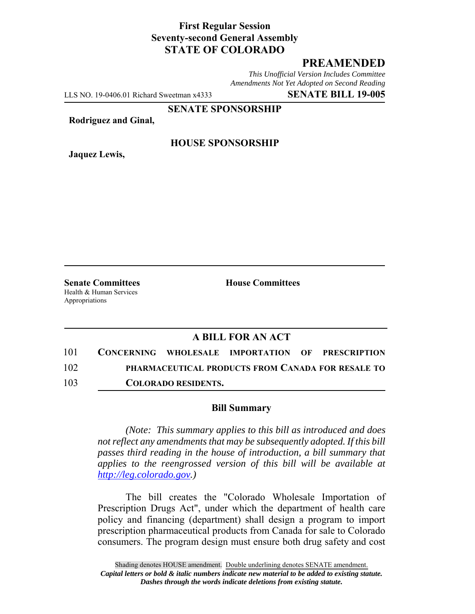## **First Regular Session Seventy-second General Assembly STATE OF COLORADO**

# **PREAMENDED**

*This Unofficial Version Includes Committee Amendments Not Yet Adopted on Second Reading*

LLS NO. 19-0406.01 Richard Sweetman x4333 **SENATE BILL 19-005**

**SENATE SPONSORSHIP**

**Rodriguez and Ginal,**

**Jaquez Lewis,**

#### **HOUSE SPONSORSHIP**

Health & Human Services Appropriations

**Senate Committees House Committees** 

### **A BILL FOR AN ACT**

101 **CONCERNING WHOLESALE IMPORTATION OF PRESCRIPTION** 102 **PHARMACEUTICAL PRODUCTS FROM CANADA FOR RESALE TO** 103 **COLORADO RESIDENTS.**

#### **Bill Summary**

*(Note: This summary applies to this bill as introduced and does not reflect any amendments that may be subsequently adopted. If this bill passes third reading in the house of introduction, a bill summary that applies to the reengrossed version of this bill will be available at http://leg.colorado.gov.)*

The bill creates the "Colorado Wholesale Importation of Prescription Drugs Act", under which the department of health care policy and financing (department) shall design a program to import prescription pharmaceutical products from Canada for sale to Colorado consumers. The program design must ensure both drug safety and cost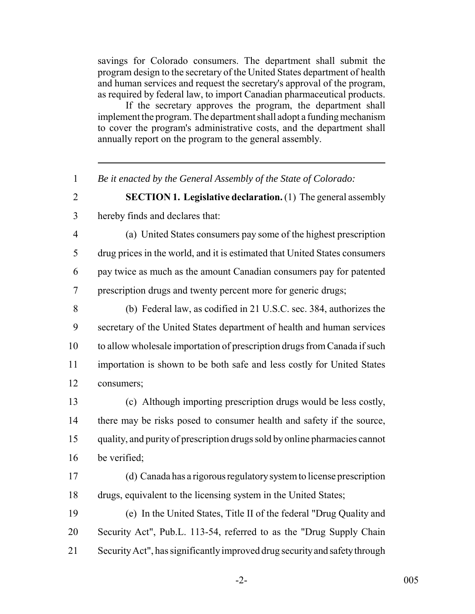savings for Colorado consumers. The department shall submit the program design to the secretary of the United States department of health and human services and request the secretary's approval of the program, as required by federal law, to import Canadian pharmaceutical products.

If the secretary approves the program, the department shall implement the program. The department shall adopt a funding mechanism to cover the program's administrative costs, and the department shall annually report on the program to the general assembly.

*Be it enacted by the General Assembly of the State of Colorado:*

 **SECTION 1. Legislative declaration.** (1) The general assembly hereby finds and declares that:

 (a) United States consumers pay some of the highest prescription drug prices in the world, and it is estimated that United States consumers pay twice as much as the amount Canadian consumers pay for patented prescription drugs and twenty percent more for generic drugs;

 (b) Federal law, as codified in 21 U.S.C. sec. 384, authorizes the secretary of the United States department of health and human services to allow wholesale importation of prescription drugs from Canada if such importation is shown to be both safe and less costly for United States consumers;

 (c) Although importing prescription drugs would be less costly, there may be risks posed to consumer health and safety if the source, quality, and purity of prescription drugs sold by online pharmacies cannot be verified;

 (d) Canada has a rigorous regulatory system to license prescription drugs, equivalent to the licensing system in the United States;

 (e) In the United States, Title II of the federal "Drug Quality and Security Act", Pub.L. 113-54, referred to as the "Drug Supply Chain Security Act", has significantly improved drug security and safety through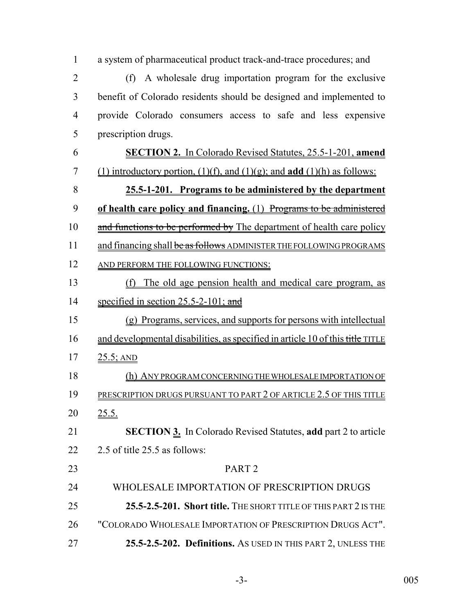| $\mathbf{1}$   | a system of pharmaceutical product track-and-trace procedures; and                      |
|----------------|-----------------------------------------------------------------------------------------|
| $\overline{2}$ | (f) A wholesale drug importation program for the exclusive                              |
| 3              | benefit of Colorado residents should be designed and implemented to                     |
| $\overline{4}$ | provide Colorado consumers access to safe and less expensive                            |
| 5              | prescription drugs.                                                                     |
| 6              | <b>SECTION 2.</b> In Colorado Revised Statutes, 25.5-1-201, amend                       |
| 7              | (1) introductory portion, $(1)(f)$ , and $(1)(g)$ ; and <b>add</b> $(1)(h)$ as follows: |
| 8              | 25.5-1-201. Programs to be administered by the department                               |
| 9              | of health care policy and financing. (1) Programs to be administered                    |
| 10             | and functions to be performed by The department of health care policy                   |
| 11             | and financing shall be as follows ADMINISTER THE FOLLOWING PROGRAMS                     |
| 12             | AND PERFORM THE FOLLOWING FUNCTIONS:                                                    |
| 13             | The old age pension health and medical care program, as<br>(f)                          |
| 14             | specified in section $25.5-2-101$ ; and                                                 |
| 15             | (g) Programs, services, and supports for persons with intellectual                      |
| 16             | and developmental disabilities, as specified in article 10 of this title TITLE          |
| 17             | $25.5$ ; AND                                                                            |
| 18             | (h) ANY PROGRAM CONCERNING THE WHOLESALE IMPORTATION OF                                 |
| 19             | PRESCRIPTION DRUGS PURSUANT TO PART 2 OF ARTICLE 2.5 OF THIS TITLE                      |
| 20             | <u>25.5.</u>                                                                            |
| 21             | <b>SECTION 3.</b> In Colorado Revised Statutes, add part 2 to article                   |
| 22             | 2.5 of title 25.5 as follows:                                                           |
| 23             | PART <sub>2</sub>                                                                       |
| 24             | WHOLESALE IMPORTATION OF PRESCRIPTION DRUGS                                             |
| 25             | 25.5-2.5-201. Short title. THE SHORT TITLE OF THIS PART 2 IS THE                        |
| 26             | "COLORADO WHOLESALE IMPORTATION OF PRESCRIPTION DRUGS ACT".                             |
| 27             | 25.5-2.5-202. Definitions. As USED IN THIS PART 2, UNLESS THE                           |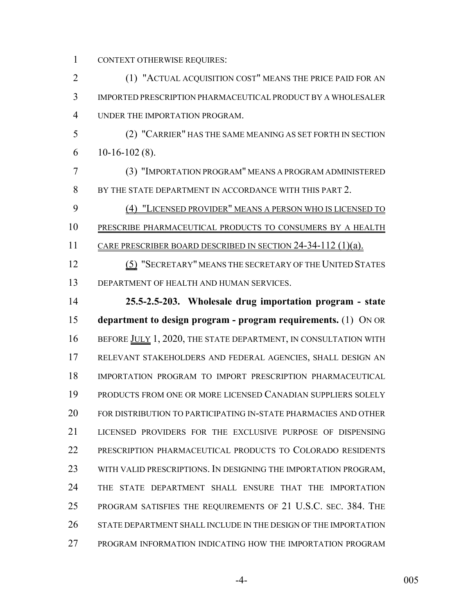CONTEXT OTHERWISE REQUIRES:

 (1) "ACTUAL ACQUISITION COST" MEANS THE PRICE PAID FOR AN IMPORTED PRESCRIPTION PHARMACEUTICAL PRODUCT BY A WHOLESALER UNDER THE IMPORTATION PROGRAM. (2) "CARRIER" HAS THE SAME MEANING AS SET FORTH IN SECTION 6 10-16-102 (8). (3) "IMPORTATION PROGRAM" MEANS A PROGRAM ADMINISTERED BY THE STATE DEPARTMENT IN ACCORDANCE WITH THIS PART 2. (4) "LICENSED PROVIDER" MEANS A PERSON WHO IS LICENSED TO PRESCRIBE PHARMACEUTICAL PRODUCTS TO CONSUMERS BY A HEALTH 11 CARE PRESCRIBER BOARD DESCRIBED IN SECTION 24-34-112 (1)(a). 12 (5) "SECRETARY" MEANS THE SECRETARY OF THE UNITED STATES DEPARTMENT OF HEALTH AND HUMAN SERVICES. **25.5-2.5-203. Wholesale drug importation program - state department to design program - program requirements.** (1) ON OR 16 BEFORE JULY 1, 2020, THE STATE DEPARTMENT, IN CONSULTATION WITH RELEVANT STAKEHOLDERS AND FEDERAL AGENCIES, SHALL DESIGN AN IMPORTATION PROGRAM TO IMPORT PRESCRIPTION PHARMACEUTICAL PRODUCTS FROM ONE OR MORE LICENSED CANADIAN SUPPLIERS SOLELY FOR DISTRIBUTION TO PARTICIPATING IN-STATE PHARMACIES AND OTHER LICENSED PROVIDERS FOR THE EXCLUSIVE PURPOSE OF DISPENSING PRESCRIPTION PHARMACEUTICAL PRODUCTS TO COLORADO RESIDENTS WITH VALID PRESCRIPTIONS. IN DESIGNING THE IMPORTATION PROGRAM, THE STATE DEPARTMENT SHALL ENSURE THAT THE IMPORTATION PROGRAM SATISFIES THE REQUIREMENTS OF 21 U.S.C. SEC. 384. THE STATE DEPARTMENT SHALL INCLUDE IN THE DESIGN OF THE IMPORTATION PROGRAM INFORMATION INDICATING HOW THE IMPORTATION PROGRAM

-4- 005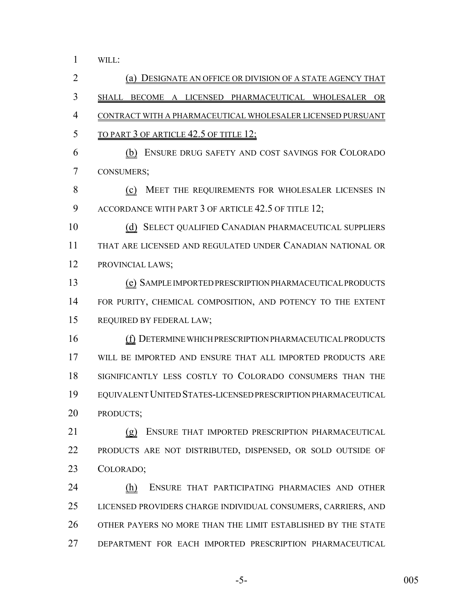WILL:

 (a) DESIGNATE AN OFFICE OR DIVISION OF A STATE AGENCY THAT SHALL BECOME A LICENSED PHARMACEUTICAL WHOLESALER OR CONTRACT WITH A PHARMACEUTICAL WHOLESALER LICENSED PURSUANT 5 TO PART 3 OF ARTICLE 42.5 OF TITLE 12; (b) ENSURE DRUG SAFETY AND COST SAVINGS FOR COLORADO CONSUMERS; (c) MEET THE REQUIREMENTS FOR WHOLESALER LICENSES IN 9 ACCORDANCE WITH PART 3 OF ARTICLE 42.5 OF TITLE 12; (d) SELECT QUALIFIED CANADIAN PHARMACEUTICAL SUPPLIERS THAT ARE LICENSED AND REGULATED UNDER CANADIAN NATIONAL OR PROVINCIAL LAWS; (e) SAMPLE IMPORTED PRESCRIPTION PHARMACEUTICAL PRODUCTS 14 FOR PURITY, CHEMICAL COMPOSITION, AND POTENCY TO THE EXTENT REQUIRED BY FEDERAL LAW; (f) DETERMINE WHICH PRESCRIPTION PHARMACEUTICAL PRODUCTS WILL BE IMPORTED AND ENSURE THAT ALL IMPORTED PRODUCTS ARE SIGNIFICANTLY LESS COSTLY TO COLORADO CONSUMERS THAN THE EQUIVALENT UNITED STATES-LICENSED PRESCRIPTION PHARMACEUTICAL PRODUCTS; (g) ENSURE THAT IMPORTED PRESCRIPTION PHARMACEUTICAL PRODUCTS ARE NOT DISTRIBUTED, DISPENSED, OR SOLD OUTSIDE OF COLORADO; (h) ENSURE THAT PARTICIPATING PHARMACIES AND OTHER LICENSED PROVIDERS CHARGE INDIVIDUAL CONSUMERS, CARRIERS, AND OTHER PAYERS NO MORE THAN THE LIMIT ESTABLISHED BY THE STATE DEPARTMENT FOR EACH IMPORTED PRESCRIPTION PHARMACEUTICAL

-5- 005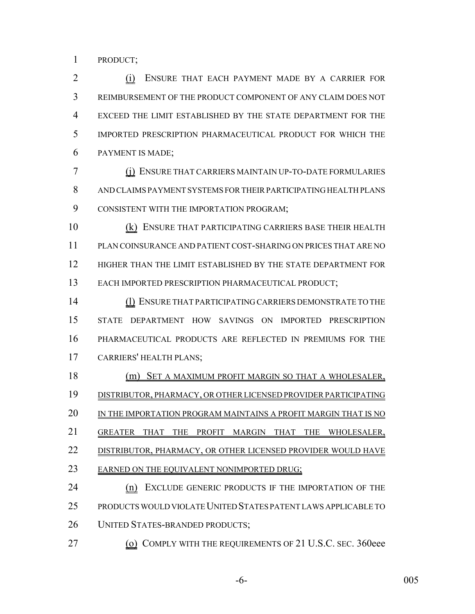PRODUCT;

 (i) ENSURE THAT EACH PAYMENT MADE BY A CARRIER FOR REIMBURSEMENT OF THE PRODUCT COMPONENT OF ANY CLAIM DOES NOT EXCEED THE LIMIT ESTABLISHED BY THE STATE DEPARTMENT FOR THE IMPORTED PRESCRIPTION PHARMACEUTICAL PRODUCT FOR WHICH THE PAYMENT IS MADE;

 (j) ENSURE THAT CARRIERS MAINTAIN UP-TO-DATE FORMULARIES AND CLAIMS PAYMENT SYSTEMS FOR THEIR PARTICIPATING HEALTH PLANS CONSISTENT WITH THE IMPORTATION PROGRAM;

 (k) ENSURE THAT PARTICIPATING CARRIERS BASE THEIR HEALTH PLAN COINSURANCE AND PATIENT COST-SHARING ON PRICES THAT ARE NO HIGHER THAN THE LIMIT ESTABLISHED BY THE STATE DEPARTMENT FOR EACH IMPORTED PRESCRIPTION PHARMACEUTICAL PRODUCT;

 (l) ENSURE THAT PARTICIPATING CARRIERS DEMONSTRATE TO THE STATE DEPARTMENT HOW SAVINGS ON IMPORTED PRESCRIPTION PHARMACEUTICAL PRODUCTS ARE REFLECTED IN PREMIUMS FOR THE CARRIERS' HEALTH PLANS;

 (m) SET A MAXIMUM PROFIT MARGIN SO THAT A WHOLESALER, DISTRIBUTOR, PHARMACY, OR OTHER LICENSED PROVIDER PARTICIPATING 20 IN THE IMPORTATION PROGRAM MAINTAINS A PROFIT MARGIN THAT IS NO GREATER THAT THE PROFIT MARGIN THAT THE WHOLESALER, DISTRIBUTOR, PHARMACY, OR OTHER LICENSED PROVIDER WOULD HAVE 23 EARNED ON THE EQUIVALENT NONIMPORTED DRUG;

24 (n) EXCLUDE GENERIC PRODUCTS IF THE IMPORTATION OF THE PRODUCTS WOULD VIOLATE UNITED STATES PATENT LAWS APPLICABLE TO UNITED STATES-BRANDED PRODUCTS;

27 (o) COMPLY WITH THE REQUIREMENTS OF 21 U.S.C. SEC. 360eee

-6- 005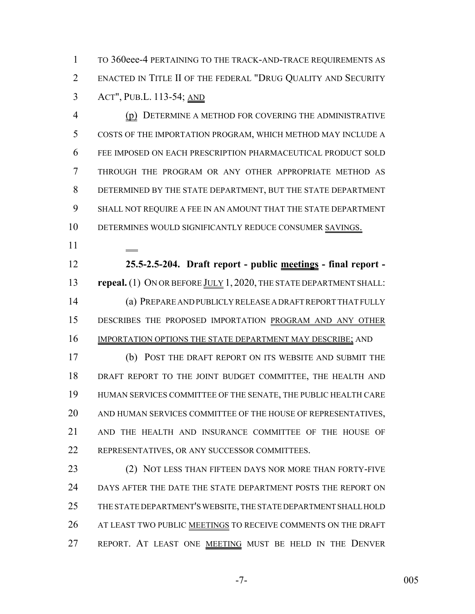TO 360eee-4 PERTAINING TO THE TRACK-AND-TRACE REQUIREMENTS AS ENACTED IN TITLE II OF THE FEDERAL "DRUG QUALITY AND SECURITY ACT", PUB.L. 113-54; AND

 (p) DETERMINE A METHOD FOR COVERING THE ADMINISTRATIVE COSTS OF THE IMPORTATION PROGRAM, WHICH METHOD MAY INCLUDE A FEE IMPOSED ON EACH PRESCRIPTION PHARMACEUTICAL PRODUCT SOLD THROUGH THE PROGRAM OR ANY OTHER APPROPRIATE METHOD AS DETERMINED BY THE STATE DEPARTMENT, BUT THE STATE DEPARTMENT SHALL NOT REQUIRE A FEE IN AN AMOUNT THAT THE STATE DEPARTMENT DETERMINES WOULD SIGNIFICANTLY REDUCE CONSUMER SAVINGS.

 **25.5-2.5-204. Draft report - public meetings - final report - repeal.** (1) ON OR BEFORE JULY 1, 2020, THE STATE DEPARTMENT SHALL: (a) PREPARE AND PUBLICLY RELEASE A DRAFT REPORT THAT FULLY DESCRIBES THE PROPOSED IMPORTATION PROGRAM AND ANY OTHER 16 IMPORTATION OPTIONS THE STATE DEPARTMENT MAY DESCRIBE; AND

 (b) POST THE DRAFT REPORT ON ITS WEBSITE AND SUBMIT THE DRAFT REPORT TO THE JOINT BUDGET COMMITTEE, THE HEALTH AND HUMAN SERVICES COMMITTEE OF THE SENATE, THE PUBLIC HEALTH CARE AND HUMAN SERVICES COMMITTEE OF THE HOUSE OF REPRESENTATIVES, AND THE HEALTH AND INSURANCE COMMITTEE OF THE HOUSE OF REPRESENTATIVES, OR ANY SUCCESSOR COMMITTEES.

23 (2) NOT LESS THAN FIFTEEN DAYS NOR MORE THAN FORTY-FIVE DAYS AFTER THE DATE THE STATE DEPARTMENT POSTS THE REPORT ON THE STATE DEPARTMENT'S WEBSITE, THE STATE DEPARTMENT SHALL HOLD 26 AT LEAST TWO PUBLIC MEETINGS TO RECEIVE COMMENTS ON THE DRAFT 27 REPORT. AT LEAST ONE MEETING MUST BE HELD IN THE DENVER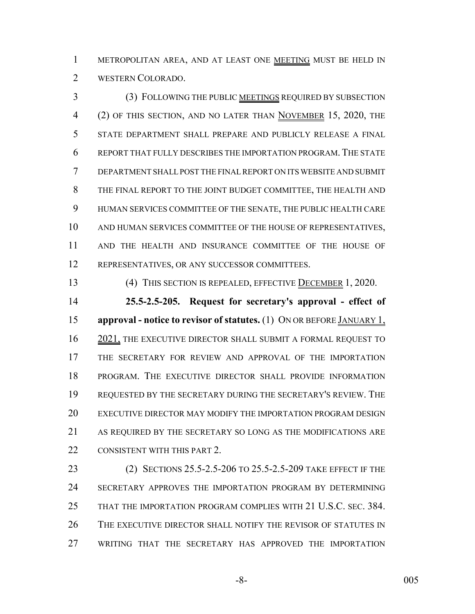METROPOLITAN AREA, AND AT LEAST ONE MEETING MUST BE HELD IN WESTERN COLORADO.

 (3) FOLLOWING THE PUBLIC MEETINGS REQUIRED BY SUBSECTION (2) OF THIS SECTION, AND NO LATER THAN NOVEMBER 15, 2020, THE STATE DEPARTMENT SHALL PREPARE AND PUBLICLY RELEASE A FINAL REPORT THAT FULLY DESCRIBES THE IMPORTATION PROGRAM.THE STATE DEPARTMENT SHALL POST THE FINAL REPORT ON ITS WEBSITE AND SUBMIT THE FINAL REPORT TO THE JOINT BUDGET COMMITTEE, THE HEALTH AND HUMAN SERVICES COMMITTEE OF THE SENATE, THE PUBLIC HEALTH CARE AND HUMAN SERVICES COMMITTEE OF THE HOUSE OF REPRESENTATIVES, AND THE HEALTH AND INSURANCE COMMITTEE OF THE HOUSE OF REPRESENTATIVES, OR ANY SUCCESSOR COMMITTEES.

(4) THIS SECTION IS REPEALED, EFFECTIVE DECEMBER 1, 2020.

 **25.5-2.5-205. Request for secretary's approval - effect of approval - notice to revisor of statutes.** (1) ON OR BEFORE JANUARY 1, 16 2021, THE EXECUTIVE DIRECTOR SHALL SUBMIT A FORMAL REQUEST TO THE SECRETARY FOR REVIEW AND APPROVAL OF THE IMPORTATION PROGRAM. THE EXECUTIVE DIRECTOR SHALL PROVIDE INFORMATION REQUESTED BY THE SECRETARY DURING THE SECRETARY'S REVIEW. THE EXECUTIVE DIRECTOR MAY MODIFY THE IMPORTATION PROGRAM DESIGN AS REQUIRED BY THE SECRETARY SO LONG AS THE MODIFICATIONS ARE 22 CONSISTENT WITH THIS PART 2.

 (2) SECTIONS 25.5-2.5-206 TO 25.5-2.5-209 TAKE EFFECT IF THE SECRETARY APPROVES THE IMPORTATION PROGRAM BY DETERMINING THAT THE IMPORTATION PROGRAM COMPLIES WITH 21 U.S.C. SEC. 384. THE EXECUTIVE DIRECTOR SHALL NOTIFY THE REVISOR OF STATUTES IN WRITING THAT THE SECRETARY HAS APPROVED THE IMPORTATION

-8- 005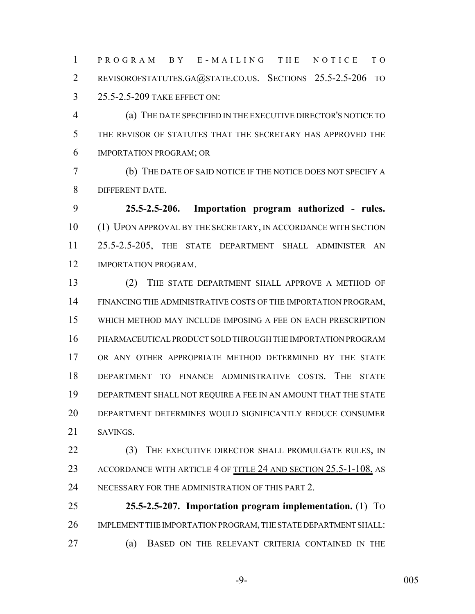PROGRAM BY E - MAILING THE NOTICE TO REVISOROFSTATUTES.GA@STATE.CO.US. SECTIONS 25.5-2.5-206 TO 25.5-2.5-209 TAKE EFFECT ON:

 (a) THE DATE SPECIFIED IN THE EXECUTIVE DIRECTOR'S NOTICE TO THE REVISOR OF STATUTES THAT THE SECRETARY HAS APPROVED THE IMPORTATION PROGRAM; OR

 (b) THE DATE OF SAID NOTICE IF THE NOTICE DOES NOT SPECIFY A DIFFERENT DATE.

 **25.5-2.5-206. Importation program authorized - rules.** (1) UPON APPROVAL BY THE SECRETARY, IN ACCORDANCE WITH SECTION 25.5-2.5-205, THE STATE DEPARTMENT SHALL ADMINISTER AN IMPORTATION PROGRAM.

 (2) THE STATE DEPARTMENT SHALL APPROVE A METHOD OF FINANCING THE ADMINISTRATIVE COSTS OF THE IMPORTATION PROGRAM, WHICH METHOD MAY INCLUDE IMPOSING A FEE ON EACH PRESCRIPTION PHARMACEUTICAL PRODUCT SOLD THROUGH THE IMPORTATION PROGRAM OR ANY OTHER APPROPRIATE METHOD DETERMINED BY THE STATE DEPARTMENT TO FINANCE ADMINISTRATIVE COSTS. THE STATE DEPARTMENT SHALL NOT REQUIRE A FEE IN AN AMOUNT THAT THE STATE DEPARTMENT DETERMINES WOULD SIGNIFICANTLY REDUCE CONSUMER SAVINGS.

22 (3) THE EXECUTIVE DIRECTOR SHALL PROMULGATE RULES, IN 23 ACCORDANCE WITH ARTICLE 4 OF TITLE 24 AND SECTION 25.5-1-108, AS NECESSARY FOR THE ADMINISTRATION OF THIS PART 2.

 **25.5-2.5-207. Importation program implementation.** (1) TO IMPLEMENT THE IMPORTATION PROGRAM, THE STATE DEPARTMENT SHALL: (a) BASED ON THE RELEVANT CRITERIA CONTAINED IN THE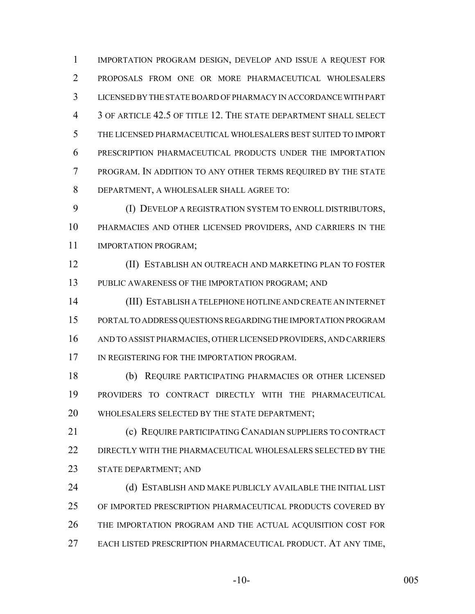IMPORTATION PROGRAM DESIGN, DEVELOP AND ISSUE A REQUEST FOR PROPOSALS FROM ONE OR MORE PHARMACEUTICAL WHOLESALERS LICENSED BY THE STATE BOARD OF PHARMACY IN ACCORDANCE WITH PART 3 OF ARTICLE 42.5 OF TITLE 12. THE STATE DEPARTMENT SHALL SELECT THE LICENSED PHARMACEUTICAL WHOLESALERS BEST SUITED TO IMPORT PRESCRIPTION PHARMACEUTICAL PRODUCTS UNDER THE IMPORTATION PROGRAM. IN ADDITION TO ANY OTHER TERMS REQUIRED BY THE STATE DEPARTMENT, A WHOLESALER SHALL AGREE TO:

 (I) DEVELOP A REGISTRATION SYSTEM TO ENROLL DISTRIBUTORS, PHARMACIES AND OTHER LICENSED PROVIDERS, AND CARRIERS IN THE IMPORTATION PROGRAM;

 (II) ESTABLISH AN OUTREACH AND MARKETING PLAN TO FOSTER PUBLIC AWARENESS OF THE IMPORTATION PROGRAM; AND

 (III) ESTABLISH A TELEPHONE HOTLINE AND CREATE AN INTERNET PORTAL TO ADDRESS QUESTIONS REGARDING THE IMPORTATION PROGRAM AND TO ASSIST PHARMACIES, OTHER LICENSED PROVIDERS, AND CARRIERS 17 IN REGISTERING FOR THE IMPORTATION PROGRAM.

 (b) REQUIRE PARTICIPATING PHARMACIES OR OTHER LICENSED PROVIDERS TO CONTRACT DIRECTLY WITH THE PHARMACEUTICAL WHOLESALERS SELECTED BY THE STATE DEPARTMENT;

**(c) REQUIRE PARTICIPATING CANADIAN SUPPLIERS TO CONTRACT**  DIRECTLY WITH THE PHARMACEUTICAL WHOLESALERS SELECTED BY THE STATE DEPARTMENT; AND

24 (d) ESTABLISH AND MAKE PUBLICLY AVAILABLE THE INITIAL LIST OF IMPORTED PRESCRIPTION PHARMACEUTICAL PRODUCTS COVERED BY THE IMPORTATION PROGRAM AND THE ACTUAL ACQUISITION COST FOR EACH LISTED PRESCRIPTION PHARMACEUTICAL PRODUCT. AT ANY TIME,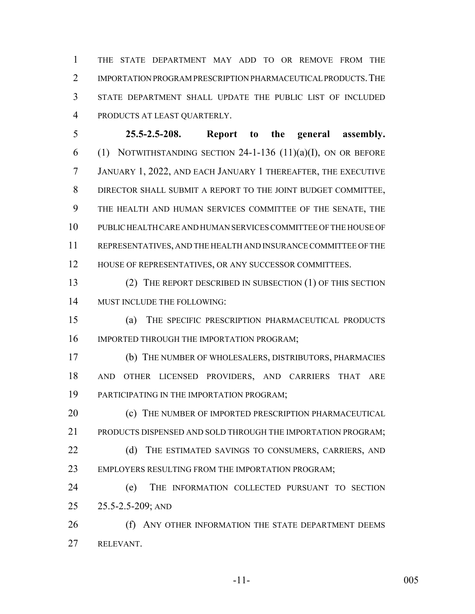THE STATE DEPARTMENT MAY ADD TO OR REMOVE FROM THE 2 IMPORTATION PROGRAM PRESCRIPTION PHARMACEUTICAL PRODUCTS. THE STATE DEPARTMENT SHALL UPDATE THE PUBLIC LIST OF INCLUDED PRODUCTS AT LEAST QUARTERLY.

 **25.5-2.5-208. Report to the general assembly.** 6 (1) NOTWITHSTANDING SECTION -1-136 (11)(a)(I), ON OR BEFORE JANUARY 1, 2022, AND EACH JANUARY 1 THEREAFTER, THE EXECUTIVE DIRECTOR SHALL SUBMIT A REPORT TO THE JOINT BUDGET COMMITTEE, THE HEALTH AND HUMAN SERVICES COMMITTEE OF THE SENATE, THE PUBLIC HEALTH CARE AND HUMAN SERVICES COMMITTEE OF THE HOUSE OF REPRESENTATIVES, AND THE HEALTH AND INSURANCE COMMITTEE OF THE 12 HOUSE OF REPRESENTATIVES, OR ANY SUCCESSOR COMMITTEES.

 (2) THE REPORT DESCRIBED IN SUBSECTION (1) OF THIS SECTION MUST INCLUDE THE FOLLOWING:

 (a) THE SPECIFIC PRESCRIPTION PHARMACEUTICAL PRODUCTS 16 IMPORTED THROUGH THE IMPORTATION PROGRAM;

 (b) THE NUMBER OF WHOLESALERS, DISTRIBUTORS, PHARMACIES AND OTHER LICENSED PROVIDERS, AND CARRIERS THAT ARE PARTICIPATING IN THE IMPORTATION PROGRAM;

**(c)** THE NUMBER OF IMPORTED PRESCRIPTION PHARMACEUTICAL 21 PRODUCTS DISPENSED AND SOLD THROUGH THE IMPORTATION PROGRAM:

22 (d) THE ESTIMATED SAVINGS TO CONSUMERS, CARRIERS, AND EMPLOYERS RESULTING FROM THE IMPORTATION PROGRAM;

 (e) THE INFORMATION COLLECTED PURSUANT TO SECTION 25.5-2.5-209; AND

26 (f) ANY OTHER INFORMATION THE STATE DEPARTMENT DEEMS RELEVANT.

-11- 005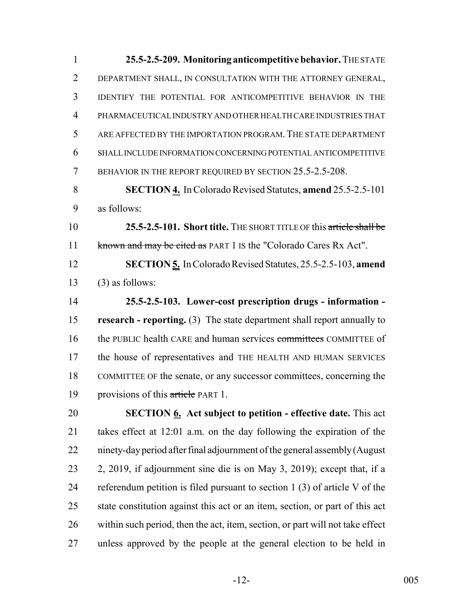**25.5-2.5-209. Monitoring anticompetitive behavior.** THE STATE DEPARTMENT SHALL, IN CONSULTATION WITH THE ATTORNEY GENERAL, IDENTIFY THE POTENTIAL FOR ANTICOMPETITIVE BEHAVIOR IN THE PHARMACEUTICAL INDUSTRY AND OTHER HEALTH CARE INDUSTRIES THAT ARE AFFECTED BY THE IMPORTATION PROGRAM.THE STATE DEPARTMENT SHALL INCLUDE INFORMATION CONCERNING POTENTIAL ANTICOMPETITIVE 7 BEHAVIOR IN THE REPORT REQUIRED BY SECTION 25.5-2.5-208.

 **SECTION 4.** In Colorado Revised Statutes, **amend** 25.5-2.5-101 as follows:

 **25.5-2.5-101. Short title.** THE SHORT TITLE OF this article shall be 11 known and may be cited as PART 1 IS the "Colorado Cares Rx Act".

 **SECTION 5.** In Colorado Revised Statutes, 25.5-2.5-103, **amend** (3) as follows:

 **25.5-2.5-103. Lower-cost prescription drugs - information - research - reporting.** (3) The state department shall report annually to 16 the PUBLIC health CARE and human services committees COMMITTEE of the house of representatives and THE HEALTH AND HUMAN SERVICES COMMITTEE OF the senate, or any successor committees, concerning the 19 provisions of this article PART 1.

 **SECTION 6. Act subject to petition - effective date.** This act takes effect at 12:01 a.m. on the day following the expiration of the ninety-day period after final adjournment of the general assembly (August 2, 2019, if adjournment sine die is on May 3, 2019); except that, if a referendum petition is filed pursuant to section 1 (3) of article V of the state constitution against this act or an item, section, or part of this act within such period, then the act, item, section, or part will not take effect unless approved by the people at the general election to be held in